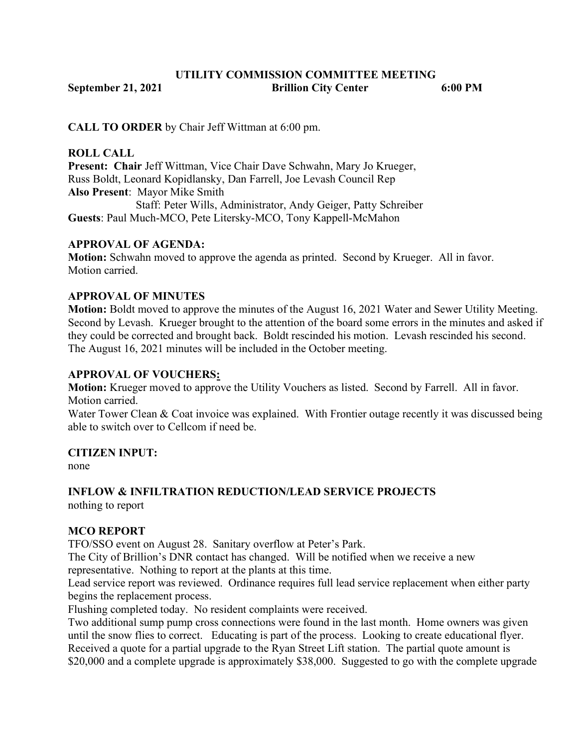# UTILITY COMMISSION COMMITTEE MEETING September 21, 2021 Brillion City Center 6:00 PM

CALL TO ORDER by Chair Jeff Wittman at 6:00 pm.

#### ROLL CALL

Present: Chair Jeff Wittman, Vice Chair Dave Schwahn, Mary Jo Krueger, Russ Boldt, Leonard Kopidlansky, Dan Farrell, Joe Levash Council Rep Also Present: Mayor Mike Smith Staff: Peter Wills, Administrator, Andy Geiger, Patty Schreiber Guests: Paul Much-MCO, Pete Litersky-MCO, Tony Kappell-McMahon

## APPROVAL OF AGENDA:

Motion: Schwahn moved to approve the agenda as printed. Second by Krueger. All in favor. Motion carried.

## APPROVAL OF MINUTES

Motion: Boldt moved to approve the minutes of the August 16, 2021 Water and Sewer Utility Meeting. Second by Levash. Krueger brought to the attention of the board some errors in the minutes and asked if they could be corrected and brought back. Boldt rescinded his motion. Levash rescinded his second. The August 16, 2021 minutes will be included in the October meeting.

#### APPROVAL OF VOUCHERS:

Motion: Krueger moved to approve the Utility Vouchers as listed. Second by Farrell. All in favor. Motion carried.

Water Tower Clean & Coat invoice was explained. With Frontier outage recently it was discussed being able to switch over to Cellcom if need be.

#### CITIZEN INPUT:

none

# INFLOW & INFILTRATION REDUCTION/LEAD SERVICE PROJECTS

nothing to report

#### MCO REPORT

TFO/SSO event on August 28. Sanitary overflow at Peter's Park.

The City of Brillion's DNR contact has changed. Will be notified when we receive a new

representative. Nothing to report at the plants at this time.

Lead service report was reviewed. Ordinance requires full lead service replacement when either party begins the replacement process.

Flushing completed today. No resident complaints were received.

Two additional sump pump cross connections were found in the last month. Home owners was given until the snow flies to correct. Educating is part of the process. Looking to create educational flyer. Received a quote for a partial upgrade to the Ryan Street Lift station. The partial quote amount is \$20,000 and a complete upgrade is approximately \$38,000. Suggested to go with the complete upgrade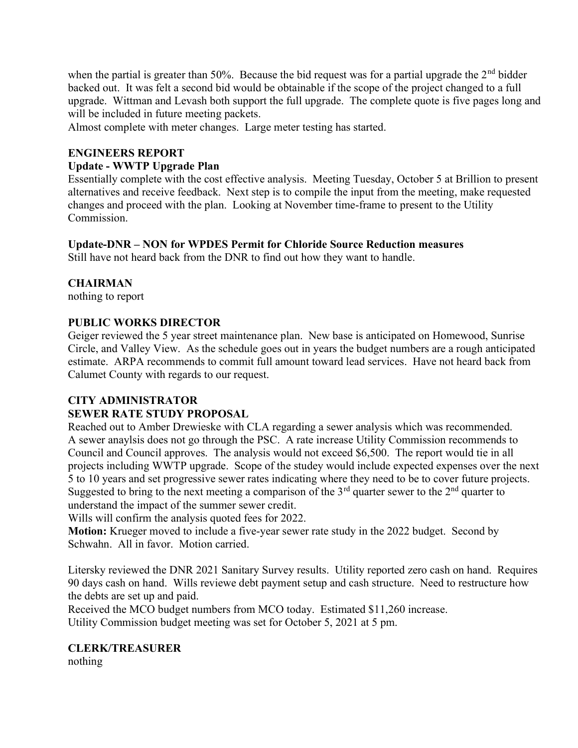when the partial is greater than 50%. Because the bid request was for a partial upgrade the  $2<sup>nd</sup>$  bidder backed out. It was felt a second bid would be obtainable if the scope of the project changed to a full upgrade. Wittman and Levash both support the full upgrade. The complete quote is five pages long and will be included in future meeting packets.

Almost complete with meter changes. Large meter testing has started.

## ENGINEERS REPORT

#### Update - WWTP Upgrade Plan

Essentially complete with the cost effective analysis. Meeting Tuesday, October 5 at Brillion to present alternatives and receive feedback. Next step is to compile the input from the meeting, make requested changes and proceed with the plan. Looking at November time-frame to present to the Utility Commission.

#### Update-DNR – NON for WPDES Permit for Chloride Source Reduction measures

Still have not heard back from the DNR to find out how they want to handle.

#### **CHAIRMAN**

nothing to report

#### PUBLIC WORKS DIRECTOR

Geiger reviewed the 5 year street maintenance plan. New base is anticipated on Homewood, Sunrise Circle, and Valley View. As the schedule goes out in years the budget numbers are a rough anticipated estimate. ARPA recommends to commit full amount toward lead services. Have not heard back from Calumet County with regards to our request.

# CITY ADMINISTRATOR

#### SEWER RATE STUDY PROPOSAL

Reached out to Amber Drewieske with CLA regarding a sewer analysis which was recommended. A sewer anaylsis does not go through the PSC. A rate increase Utility Commission recommends to Council and Council approves. The analysis would not exceed \$6,500. The report would tie in all projects including WWTP upgrade. Scope of the studey would include expected expenses over the next 5 to 10 years and set progressive sewer rates indicating where they need to be to cover future projects. Suggested to bring to the next meeting a comparison of the  $3<sup>rd</sup>$  quarter sewer to the  $2<sup>nd</sup>$  quarter to understand the impact of the summer sewer credit.

Wills will confirm the analysis quoted fees for 2022.

Motion: Krueger moved to include a five-year sewer rate study in the 2022 budget. Second by Schwahn. All in favor. Motion carried.

Litersky reviewed the DNR 2021 Sanitary Survey results. Utility reported zero cash on hand. Requires 90 days cash on hand. Wills reviewe debt payment setup and cash structure. Need to restructure how the debts are set up and paid.

Received the MCO budget numbers from MCO today. Estimated \$11,260 increase. Utility Commission budget meeting was set for October 5, 2021 at 5 pm.

#### CLERK/TREASURER

nothing